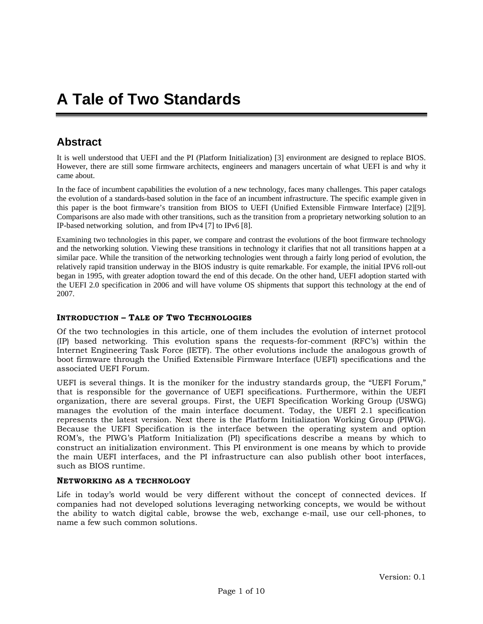# **Abstract**

It is well understood that UEFI and the PI (Platform Initialization) [3] environment are designed to replace BIOS. However, there are still some firmware architects, engineers and managers uncertain of what UEFI is and why it came about.

In the face of incumbent capabilities the evolution of a new technology, faces many challenges. This paper catalogs the evolution of a standards-based solution in the face of an incumbent infrastructure. The specific example given in this paper is the boot firmware's transition from BIOS to UEFI (Unified Extensible Firmware Interface) [2][9]. Comparisons are also made with other transitions, such as the transition from a proprietary networking solution to an IP-based networking solution, and from IPv4 [7] to IPv6 [8].

Examining two technologies in this paper, we compare and contrast the evolutions of the boot firmware technology and the networking solution. Viewing these transitions in technology it clarifies that not all transitions happen at a similar pace. While the transition of the networking technologies went through a fairly long period of evolution, the relatively rapid transition underway in the BIOS industry is quite remarkable. For example, the initial IPV6 roll-out began in 1995, with greater adoption toward the end of this decade. On the other hand, UEFI adoption started with the UEFI 2.0 specification in 2006 and will have volume OS shipments that support this technology at the end of 2007.

#### **INTRODUCTION – TALE OF TWO TECHNOLOGIES**

Of the two technologies in this article, one of them includes the evolution of internet protocol (IP) based networking. This evolution spans the requests-for-comment (RFC's) within the Internet Engineering Task Force (IETF). The other evolutions include the analogous growth of boot firmware through the Unified Extensible Firmware Interface (UEFI) specifications and the associated UEFI Forum.

UEFI is several things. It is the moniker for the industry standards group, the "UEFI Forum," that is responsible for the governance of UEFI specifications. Furthermore, within the UEFI organization, there are several groups. First, the UEFI Specification Working Group (USWG) manages the evolution of the main interface document. Today, the UEFI 2.1 specification represents the latest version. Next there is the Platform Initialization Working Group (PIWG). Because the UEFI Specification is the interface between the operating system and option ROM's, the PIWG's Platform Initialization (PI) specifications describe a means by which to construct an initialization environment. This PI environment is one means by which to provide the main UEFI interfaces, and the PI infrastructure can also publish other boot interfaces, such as BIOS runtime.

#### **NETWORKING AS A TECHNOLOGY**

Life in today's world would be very different without the concept of connected devices. If companies had not developed solutions leveraging networking concepts, we would be without the ability to watch digital cable, browse the web, exchange e-mail, use our cell-phones, to name a few such common solutions.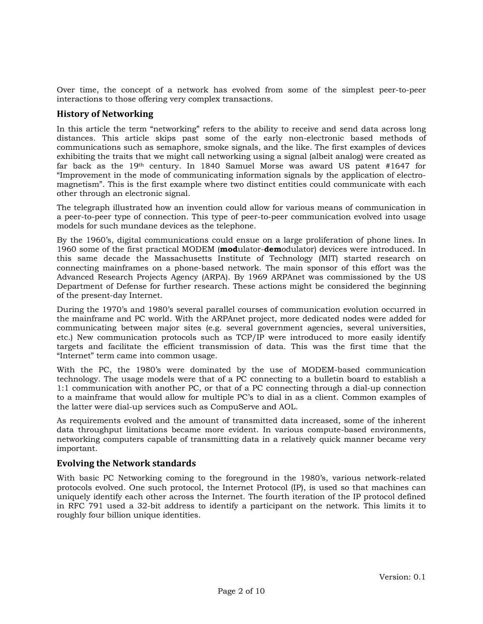Over time, the concept of a network has evolved from some of the simplest peer-to-peer interactions to those offering very complex transactions.

#### **History of Networking**

In this article the term "networking" refers to the ability to receive and send data across long distances. This article skips past some of the early non-electronic based methods of communications such as semaphore, smoke signals, and the like. The first examples of devices exhibiting the traits that we might call networking using a signal (albeit analog) were created as far back as the 19th century. In 1840 Samuel Morse was award US patent #1647 for "Improvement in the mode of communicating information signals by the application of electromagnetism". This is the first example where two distinct entities could communicate with each other through an electronic signal.

The telegraph illustrated how an invention could allow for various means of communication in a peer-to-peer type of connection. This type of peer-to-peer communication evolved into usage models for such mundane devices as the telephone.

By the 1960's, digital communications could ensue on a large proliferation of phone lines. In 1960 some of the first practical MODEM (**mod**ulator-**dem**odulator) devices were introduced. In this same decade the Massachusetts Institute of Technology (MIT) started research on connecting mainframes on a phone-based network. The main sponsor of this effort was the Advanced Research Projects Agency (ARPA). By 1969 ARPAnet was commissioned by the US Department of Defense for further research. These actions might be considered the beginning of the present-day Internet.

During the 1970's and 1980's several parallel courses of communication evolution occurred in the mainframe and PC world. With the ARPAnet project, more dedicated nodes were added for communicating between major sites (e.g. several government agencies, several universities, etc.) New communication protocols such as TCP/IP were introduced to more easily identify targets and facilitate the efficient transmission of data. This was the first time that the "Internet" term came into common usage.

With the PC, the 1980's were dominated by the use of MODEM-based communication technology. The usage models were that of a PC connecting to a bulletin board to establish a 1:1 communication with another PC, or that of a PC connecting through a dial-up connection to a mainframe that would allow for multiple PC's to dial in as a client. Common examples of the latter were dial-up services such as CompuServe and AOL.

As requirements evolved and the amount of transmitted data increased, some of the inherent data throughput limitations became more evident. In various compute-based environments, networking computers capable of transmitting data in a relatively quick manner became very important.

## **Evolving the Network standards**

With basic PC Networking coming to the foreground in the 1980's, various network-related protocols evolved. One such protocol, the Internet Protocol (IP), is used so that machines can uniquely identify each other across the Internet. The fourth iteration of the IP protocol defined in RFC 791 used a 32-bit address to identify a participant on the network. This limits it to roughly four billion unique identities.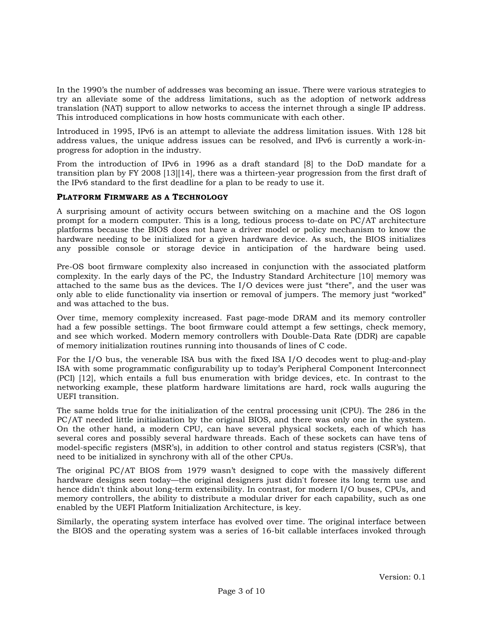In the 1990's the number of addresses was becoming an issue. There were various strategies to try an alleviate some of the address limitations, such as the adoption of network address translation (NAT) support to allow networks to access the internet through a single IP address. This introduced complications in how hosts communicate with each other.

Introduced in 1995, IPv6 is an attempt to alleviate the address limitation issues. With 128 bit address values, the unique address issues can be resolved, and IPv6 is currently a work-inprogress for adoption in the industry.

From the introduction of IPv6 in 1996 as a draft standard [8] to the DoD mandate for a transition plan by FY 2008 [13][14], there was a thirteen-year progression from the first draft of the IPv6 standard to the first deadline for a plan to be ready to use it.

#### **PLATFORM FIRMWARE AS A TECHNOLOGY**

A surprising amount of activity occurs between switching on a machine and the OS logon prompt for a modern computer. This is a long, tedious process to-date on PC/AT architecture platforms because the BIOS does not have a driver model or policy mechanism to know the hardware needing to be initialized for a given hardware device. As such, the BIOS initializes any possible console or storage device in anticipation of the hardware being used.

Pre-OS boot firmware complexity also increased in conjunction with the associated platform complexity. In the early days of the PC, the Industry Standard Architecture [10] memory was attached to the same bus as the devices. The I/O devices were just "there", and the user was only able to elide functionality via insertion or removal of jumpers. The memory just "worked" and was attached to the bus.

Over time, memory complexity increased. Fast page-mode DRAM and its memory controller had a few possible settings. The boot firmware could attempt a few settings, check memory, and see which worked. Modern memory controllers with Double-Data Rate (DDR) are capable of memory initialization routines running into thousands of lines of C code.

For the I/O bus, the venerable ISA bus with the fixed ISA I/O decodes went to plug-and-play ISA with some programmatic configurability up to today's Peripheral Component Interconnect (PCI) [12], which entails a full bus enumeration with bridge devices, etc. In contrast to the networking example, these platform hardware limitations are hard, rock walls auguring the UEFI transition.

The same holds true for the initialization of the central processing unit (CPU). The 286 in the PC/AT needed little initialization by the original BIOS, and there was only one in the system. On the other hand, a modern CPU, can have several physical sockets, each of which has several cores and possibly several hardware threads. Each of these sockets can have tens of model-specific registers (MSR's), in addition to other control and status registers (CSR's), that need to be initialized in synchrony with all of the other CPUs.

The original PC/AT BIOS from 1979 wasn't designed to cope with the massively different hardware designs seen today—the original designers just didn't foresee its long term use and hence didn't think about long-term extensibility. In contrast, for modern I/O buses, CPUs, and memory controllers, the ability to distribute a modular driver for each capability, such as one enabled by the UEFI Platform Initialization Architecture, is key.

Similarly, the operating system interface has evolved over time. The original interface between the BIOS and the operating system was a series of 16-bit callable interfaces invoked through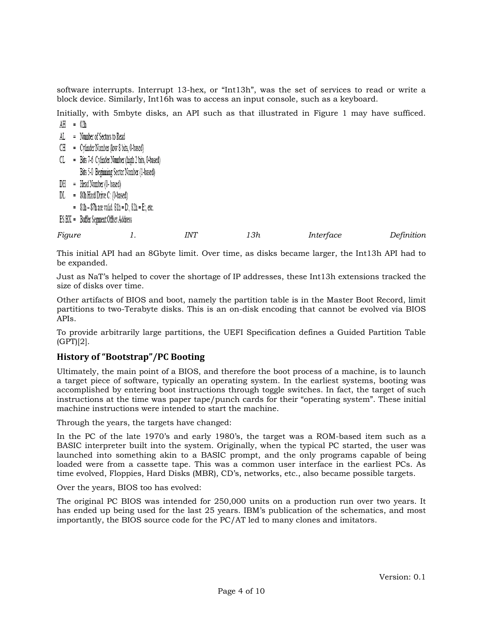software interrupts. Interrupt 13-hex, or "Int13h", was the set of services to read or write a block device. Similarly, Int16h was to access an input console, such as a keyboard.

Initially, with 5mbyte disks, an API such as that illustrated in Figure 1 may have sufficed.  $AH = 02h$ 

- AL = Number of Sectors to Read
- $CH =$  Cylinder Number (low 8 bits, 0-based)
- $CL$  = Bits 7-6 Cylinder Number (high 2 bits, 0-based) Bits 5-0 Beginning Sector Number (1-based)
- $DH = Head Number (0-based)$
- $DL = 80h$  Hard Drive C: (0-based)
	- $=$  81h 87h are valid. 81h = D:, 82h = E:, etc.
- ES:BX = Buffer Segment:Offset Address

| Figure | <b>INT</b> | 13h | Interface | Definition |
|--------|------------|-----|-----------|------------|
|        |            |     |           |            |

This initial API had an 8Gbyte limit. Over time, as disks became larger, the Int13h API had to be expanded.

Just as NaT's helped to cover the shortage of IP addresses, these Int13h extensions tracked the size of disks over time.

Other artifacts of BIOS and boot, namely the partition table is in the Master Boot Record, limit partitions to two-Terabyte disks. This is an on-disk encoding that cannot be evolved via BIOS APIs.

To provide arbitrarily large partitions, the UEFI Specification defines a Guided Partition Table (GPT)[2].

## **History of "Bootstrap"/PC Booting**

Ultimately, the main point of a BIOS, and therefore the boot process of a machine, is to launch a target piece of software, typically an operating system. In the earliest systems, booting was accomplished by entering boot instructions through toggle switches. In fact, the target of such instructions at the time was paper tape/punch cards for their "operating system". These initial machine instructions were intended to start the machine.

Through the years, the targets have changed:

In the PC of the late 1970's and early 1980's, the target was a ROM-based item such as a BASIC interpreter built into the system. Originally, when the typical PC started, the user was launched into something akin to a BASIC prompt, and the only programs capable of being loaded were from a cassette tape. This was a common user interface in the earliest PCs. As time evolved, Floppies, Hard Disks (MBR), CD's, networks, etc., also became possible targets.

Over the years, BIOS too has evolved:

The original PC BIOS was intended for 250,000 units on a production run over two years. It has ended up being used for the last 25 years. IBM's publication of the schematics, and most importantly, the BIOS source code for the PC/AT led to many clones and imitators.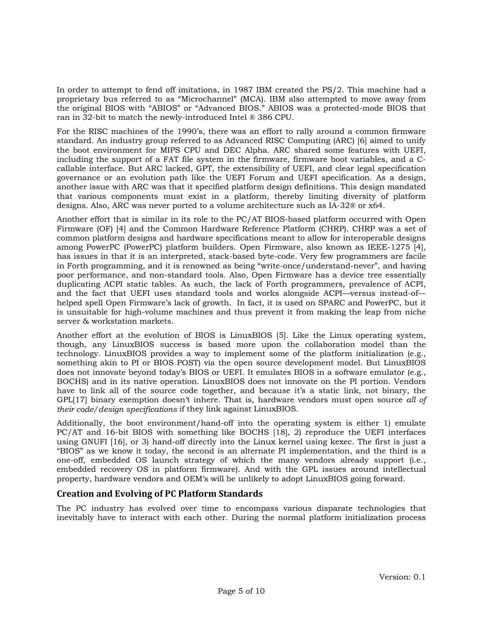In order to attempt to fend off imitations, in 1987 IBM created the PS/2. This machine had a proprietary bus referred to as "Microchannel" (MCA). IBM also attempted to move away from the original BIOS with "ABIOS" or "Advanced BIOS." ABIOS was a protected-mode BIOS that ran in 32-bit to match the newly-introduced Intel ® 386 CPU.

For the RISC machines of the 1990's, there was an effort to rally around a common firmware standard. An industry group referred to as Advanced RISC Computing (ARC) [6] aimed to unify the boot environment for MIPS CPU and DEC Alpha. ARC shared some features with UEFI, including the support of a FAT file system in the firmware, firmware boot variables, and a Ccallable interface. But ARC lacked, GPT, the extensibility of UEFI, and clear legal specification governance or an evolution path like the UEFI Forum and UEFI specification. As a design, another issue with ARC was that it specified platform design definitions. This design mandated that various components must exist in a platform, thereby limiting diversity of platform designs. Also, ARC was never ported to a volume architecture such as IA-32® or x64.

Another effort that is similar in its role to the PC/AT BIOS-based platform occurred with Open Firmware (OF) [4] and the Common Hardware Reference Platform (CHRP). CHRP was a set of common platform designs and hardware specifications meant to allow for interoperable designs among PowerPC (PowerPC) platform builders. Open Firmware, also known as IEEE-1275 [4], has issues in that it is an interpreted, stack-based byte-code. Very few programmers are facile in Forth programming, and it is renowned as being "write-once/understand-never", and having poor performance, and non-standard tools. Also, Open Firmware has a device tree essentially duplicating ACPI static tables. As such, the lack of Forth programmers, prevalence of ACPI, and the fact that UEFI uses standard tools and works alongside ACPI—versus instead-of helped spell Open Firmware's lack of growth. In fact, it is used on SPARC and PowerPC, but it is unsuitable for high-volume machines and thus prevent it from making the leap from niche server & workstation markets.

Another effort at the evolution of BIOS is LinuxBIOS [5]. Like the Linux operating system, though, any LinuxBIOS success is based more upon the collaboration model than the technology. LinuxBIOS provides a way to implement some of the platform initialization (e.g., something akin to PI or BIOS POST) via the open source development model. But LinuxBIOS does not innovate beyond today's BIOS or UEFI. It emulates BIOS in a software emulator (e.g., BOCHS) and in its native operation. LinuxBIOS does not innovate on the PI portion. Vendors have to link all of the source code together, and because it's a static link, not binary, the GPL[17] binary exemption doesn't inhere. That is, hardware vendors must open source *all of their code/design specifications* if they link against LinuxBIOS.

Additionally, the boot environment/hand-off into the operating system is either 1) emulate PC/AT and 16-bit BIOS with something like BOCHS [18], 2) reproduce the UEFI interfaces using GNUFI [16], or 3) hand-off directly into the Linux kernel using kexec. The first is just a "BIOS" as we know it today, the second is an alternate PI implementation, and the third is a one-off, embedded OS launch strategy of which the many vendors already support (i.e., embedded recovery OS in platform firmware). And with the GPL issues around intellectual property, hardware vendors and OEM's will be unlikely to adopt LinuxBIOS going forward.

## **Creation and Evolving of PC Platform Standards**

The PC industry has evolved over time to encompass various disparate technologies that inevitably have to interact with each other. During the normal platform initialization process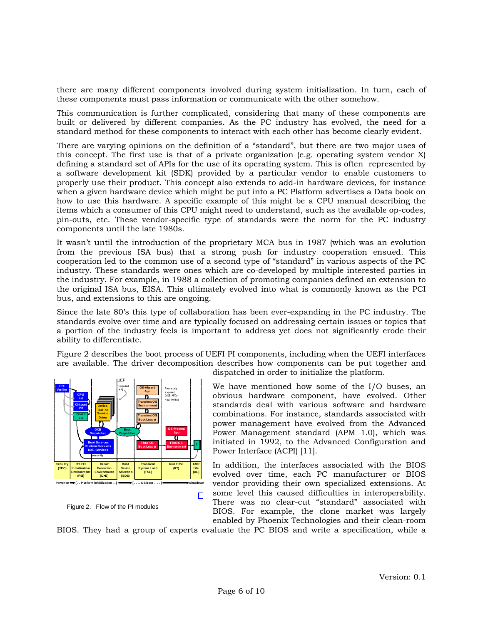there are many different components involved during system initialization. In turn, each of these components must pass information or communicate with the other somehow.

This communication is further complicated, considering that many of these components are built or delivered by different companies. As the PC industry has evolved, the need for a standard method for these components to interact with each other has become clearly evident.

There are varying opinions on the definition of a "standard", but there are two major uses of this concept. The first use is that of a private organization (e.g. operating system vendor X) defining a standard set of APIs for the use of its operating system. This is often represented by a software development kit (SDK) provided by a particular vendor to enable customers to properly use their product. This concept also extends to add-in hardware devices, for instance when a given hardware device which might be put into a PC Platform advertises a Data book on how to use this hardware. A specific example of this might be a CPU manual describing the items which a consumer of this CPU might need to understand, such as the available op-codes, pin-outs, etc. These vendor-specific type of standards were the norm for the PC industry components until the late 1980s.

It wasn't until the introduction of the proprietary MCA bus in 1987 (which was an evolution from the previous ISA bus) that a strong push for industry cooperation ensued. This cooperation led to the common use of a second type of "standard" in various aspects of the PC industry. These standards were ones which are co-developed by multiple interested parties in the industry. For example, in 1988 a collection of promoting companies defined an extension to the original ISA bus, EISA. This ultimately evolved into what is commonly known as the PCI bus, and extensions to this are ongoing.

Since the late 80's this type of collaboration has been ever-expanding in the PC industry. The standards evolve over time and are typically focused on addressing certain issues or topics that a portion of the industry feels is important to address yet does not significantly erode their ability to differentiate.

Figure 2 describes the boot process of UEFI PI components, including when the UEFI interfaces are available. The driver decomposition describes how components can be put together and



Figure 2. Flow of the PI modules

dispatched in order to initialize the platform.

We have mentioned how some of the I/O buses, an obvious hardware component, have evolved. Other standards deal with various software and hardware combinations. For instance, standards associated with power management have evolved from the Advanced Power Management standard (APM 1.0), which was initiated in 1992, to the Advanced Configuration and Power Interface (ACPI) [11].

In addition, the interfaces associated with the BIOS evolved over time, each PC manufacturer or BIOS vendor providing their own specialized extensions. At

some level this caused difficulties in interoperability. There was no clear-cut "standard" associated with BIOS. For example, the clone market was largely enabled by Phoenix Technologies and their clean-room

BIOS. They had a group of experts evaluate the PC BIOS and write a specification, while a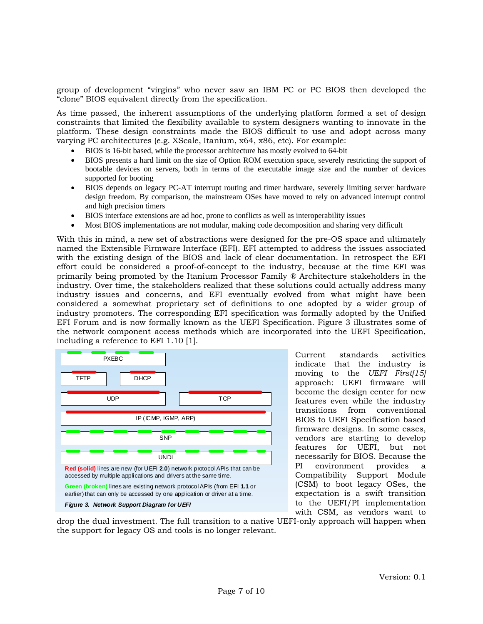group of development "virgins" who never saw an IBM PC or PC BIOS then developed the "clone" BIOS equivalent directly from the specification.

As time passed, the inherent assumptions of the underlying platform formed a set of design constraints that limited the flexibility available to system designers wanting to innovate in the platform. These design constraints made the BIOS difficult to use and adopt across many varying PC architectures (e.g. XScale, Itanium, x64, x86, etc). For example:

- BIOS is 16-bit based, while the processor architecture has mostly evolved to 64-bit
- BIOS presents a hard limit on the size of Option ROM execution space, severely restricting the support of bootable devices on servers, both in terms of the executable image size and the number of devices supported for booting
- BIOS depends on legacy PC-AT interrupt routing and timer hardware, severely limiting server hardware design freedom. By comparison, the mainstream OSes have moved to rely on advanced interrupt control and high precision timers
- BIOS interface extensions are ad hoc, prone to conflicts as well as interoperability issues
- Most BIOS implementations are not modular, making code decomposition and sharing very difficult

With this in mind, a new set of abstractions were designed for the pre-OS space and ultimately named the Extensible Firmware Interface (EFI). EFI attempted to address the issues associated with the existing design of the BIOS and lack of clear documentation. In retrospect the EFI effort could be considered a proof-of-concept to the industry, because at the time EFI was primarily being promoted by the Itanium Processor Family ® Architecture stakeholders in the industry. Over time, the stakeholders realized that these solutions could actually address many industry issues and concerns, and EFI eventually evolved from what might have been considered a somewhat proprietary set of definitions to one adopted by a wider group of industry promoters. The corresponding EFI specification was formally adopted by the Unified EFI Forum and is now formally known as the UEFI Specification. Figure 3 illustrates some of the network component access methods which are incorporated into the UEFI Specification, including a reference to EFI 1.10 [1].



Current standards activities indicate that the industry is moving to the *UEFI First[15]* approach: UEFI firmware will become the design center for new features even while the industry transitions from conventional BIOS to UEFI Specification based firmware designs. In some cases, vendors are starting to develop features for UEFI, but not necessarily for BIOS. Because the PI environment provides a Compatibility Support Module (CSM) to boot legacy OSes, the expectation is a swift transition to the UEFI/PI implementation with CSM, as vendors want to

drop the dual investment. The full transition to a native UEFI-only approach will happen when the support for legacy OS and tools is no longer relevant.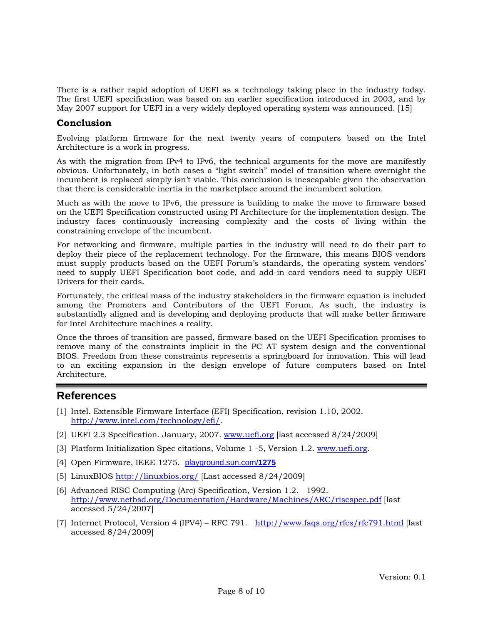There is a rather rapid adoption of UEFI as a technology taking place in the industry today. The first UEFI specification was based on an earlier specification introduced in 2003, and by May 2007 support for UEFI in a very widely deployed operating system was announced. [15]

## **Conclusion**

Evolving platform firmware for the next twenty years of computers based on the Intel Architecture is a work in progress.

As with the migration from IPv4 to IPv6, the technical arguments for the move are manifestly obvious. Unfortunately, in both cases a "light switch" model of transition where overnight the incumbent is replaced simply isn't viable. This conclusion is inescapable given the observation that there is considerable inertia in the marketplace around the incumbent solution.

Much as with the move to IPv6, the pressure is building to make the move to firmware based on the UEFI Specification constructed using PI Architecture for the implementation design. The industry faces continuously increasing complexity and the costs of living within the constraining envelope of the incumbent.

For networking and firmware, multiple parties in the industry will need to do their part to deploy their piece of the replacement technology. For the firmware, this means BIOS vendors must supply products based on the UEFI Forum's standards, the operating system vendors' need to supply UEFI Specification boot code, and add-in card vendors need to supply UEFI Drivers for their cards.

Fortunately, the critical mass of the industry stakeholders in the firmware equation is included among the Promoters and Contributors of the UEFI Forum. As such, the industry is substantially aligned and is developing and deploying products that will make better firmware for Intel Architecture machines a reality.

Once the throes of transition are passed, firmware based on the UEFI Specification promises to remove many of the constraints implicit in the PC AT system design and the conventional BIOS. Freedom from these constraints represents a springboard for innovation. This will lead to an exciting expansion in the design envelope of future computers based on Intel Architecture.

# **References**

- [1] Intel. Extensible Firmware Interface (EFI) Specification, revision 1.10, 2002. http://www.intel.com/technology/efi/.
- [2] UEFI 2.3 Specification. January, 2007. [www.uefi.org](http://www.uefi.org/) [last accessed 8/24/2009]
- [3] Platform Initialization Spec citations, Volume 1 -5, Version 1.2. [www.uefi.org.](http://www.uefi.org/)
- [4] Open Firmware, IEEE 1275. [playground.sun.com/](http://playground.sun.com/1275)**1275**
- [5] LinuxBIOS <http://linuxbios.org/>[Last accessed 8/24/2009]
- [6] Advanced RISC Computing (Arc) Specification, Version 1.2. 1992. <http://www.netbsd.org/Documentation/Hardware/Machines/ARC/riscspec.pdf>[last accessed 5/24/2007]
- [7] Internet Protocol, Version 4 (IPV4) RFC 791. <http://www.faqs.org/rfcs/rfc791.html>[last accessed 8/24/2009]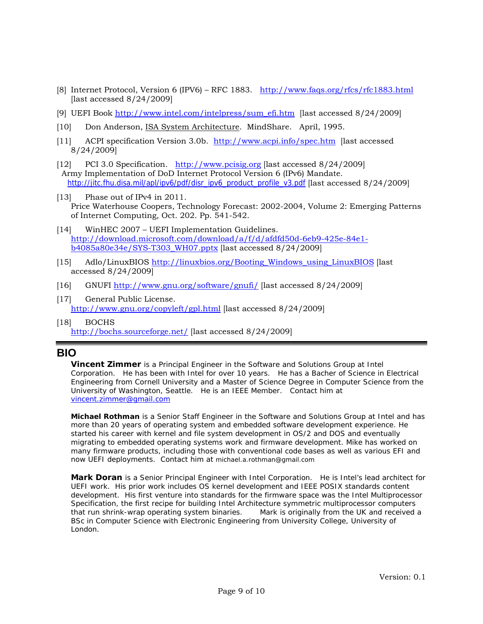- [8] Internet Protocol, Version 6 (IPV6) RFC 1883. <http://www.faqs.org/rfcs/rfc1883.html> [last accessed 8/24/2009]
- [9] UEFI Book [http://www.intel.com/intelpress/sum\\_efi.htm](http://www.intel.com/intelpress/sum_efi.htm) [last accessed 8/24/2009]
- [10] Don Anderson, ISA System Architecture. MindShare. April, 1995.
- [11] ACPI specification Version 3.0b. <http://www.acpi.info/spec.htm>[last accessed 8/24/2009]
- [12] PCI 3.0 Specification. [http://www.pcisig.org](http://www.pcisig.org/) [last accessed 8/24/2009] Army Implementation of DoD Internet Protocol Version 6 (IPv6) Mandate. [http://jitc.fhu.disa.mil/apl/ipv6/pdf/disr\\_ipv6\\_product\\_profile\\_v3.pdf](http://jitc.fhu.disa.mil/apl/ipv6/pdf/disr_ipv6_product_profile_v3.pdf) [last accessed 8/24/2009]
- [13] Phase out of IPv4 in 2011. Price Waterhouse Coopers, Technology Forecast: 2002-2004, Volume 2: Emerging Patterns of Internet Computing, Oct. 202. Pp. 541-542.
- [14] WinHEC 2007 UEFI Implementation Guidelines. [http://download.microsoft.com/download/a/f/d/afdfd50d-6eb9-425e-84e1](http://download.microsoft.com/download/a/f/d/afdfd50d-6eb9-425e-84e1-b4085a80e34e/SYS-T303_WH07.pptx) [b4085a80e34e/SYS-T303\\_WH07.pptx](http://download.microsoft.com/download/a/f/d/afdfd50d-6eb9-425e-84e1-b4085a80e34e/SYS-T303_WH07.pptx) [last accessed 8/24/2009]
- [15] Adlo/LinuxBIOS [http://linuxbios.org/Booting\\_Windows\\_using\\_LinuxBIOS](http://linuxbios.org/Booting_Windows_using_LinuxBIOS) [last accessed 8/24/2009]
- [16] GNUFI<http://www.gnu.org/software/gnufi/>[last accessed 8/24/2009]
- [17] General Public License. <http://www.gnu.org/copyleft/gpl.html>[last accessed 8/24/2009]
- [18] BOCHS <http://bochs.sourceforge.net/>[last accessed 8/24/2009]

# **BIO**

*Vincent Zimmer* is a Principal Engineer in the Software and Solutions Group at Intel Corporation. He has been with Intel for over 10 years. He has a Bacher of Science in Electrical Engineering from Cornell University and a Master of Science Degree in Computer Science from the University of Washington, Seattle. He is an IEEE Member. Contact him at [vincent.zimmer@gmail.com](mailto:vincent.zimmer@gmail.com)

**Michael Rothman** is a Senior Staff Engineer in the Software and Solutions Group at Intel and has more than 20 years of operating system and embedded software development experience. He started his career with kernel and file system development in OS/2 and DOS and eventually migrating to embedded operating systems work and firmware development. Mike has worked on many firmware products, including those with conventional code bases as well as various EFI and now UEFI deployments. Contact him at michael.a.rothman@gmail.com

Mark Doran is a Senior Principal Engineer with Intel Corporation. He is Intel's lead architect for UEFI work. His prior work includes OS kernel development and IEEE POSIX standards content development. His first venture into standards for the firmware space was the Intel Multiprocessor Specification, the first recipe for building Intel Architecture symmetric multiprocessor computers that run shrink-wrap operating system binaries. Mark is originally from the UK and received a BSc in Computer Science with Electronic Engineering from University College, University of London.